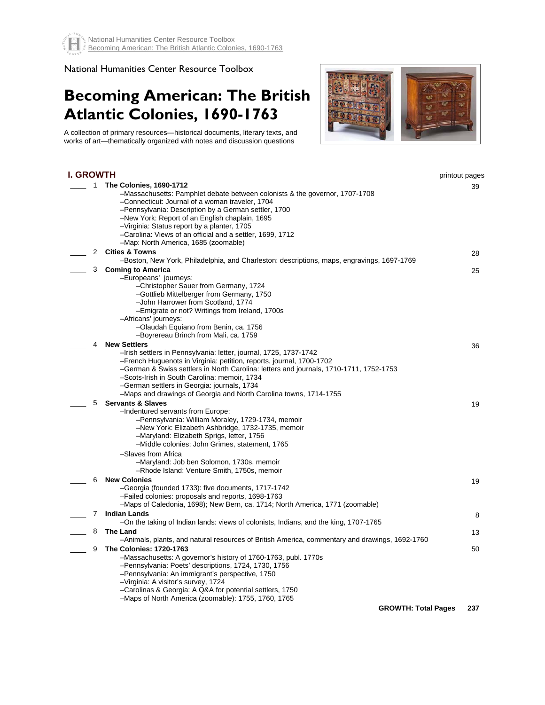## National Humanities Center Resource Toolbox

## **Becoming American: The British Atlantic Colonies, 1690-1763**



A collection of primary resources—historical documents, literary texts, and works of art—thematically organized with notes and discussion questions

| I. GROWTH |           |                                                                                                                                                                                                                                                                                                                                                                                                                                | printout pages |
|-----------|-----------|--------------------------------------------------------------------------------------------------------------------------------------------------------------------------------------------------------------------------------------------------------------------------------------------------------------------------------------------------------------------------------------------------------------------------------|----------------|
|           | $1 \quad$ | <b>The Colonies, 1690-1712</b><br>-Massachusetts: Pamphlet debate between colonists & the governor, 1707-1708<br>-Connecticut: Journal of a woman traveler, 1704<br>-Pennsylvania: Description by a German settler, 1700<br>-New York: Report of an English chaplain, 1695<br>-Virginia: Status report by a planter, 1705<br>-Carolina: Views of an official and a settler, 1699, 1712<br>-Map: North America, 1685 (zoomable) | 39             |
|           | 2         | <b>Cities &amp; Towns</b><br>-Boston, New York, Philadelphia, and Charleston: descriptions, maps, engravings, 1697-1769                                                                                                                                                                                                                                                                                                        | 28             |
|           | 3         | <b>Coming to America</b><br>-Europeans' journeys:<br>-Christopher Sauer from Germany, 1724<br>-Gottlieb Mittelberger from Germany, 1750<br>-John Harrower from Scotland, 1774<br>-Emigrate or not? Writings from Ireland, 1700s<br>-Africans' journeys:<br>-Olaudah Equiano from Benin, ca. 1756<br>-Boyrereau Brinch from Mali, ca. 1759                                                                                      | 25             |
|           | 4         | <b>New Settlers</b>                                                                                                                                                                                                                                                                                                                                                                                                            | 36             |
|           |           | -Irish settlers in Pennsylvania: letter, journal, 1725, 1737-1742<br>-French Huguenots in Virginia: petition, reports, journal, 1700-1702<br>-German & Swiss settlers in North Carolina: letters and journals, 1710-1711, 1752-1753<br>-Scots-Irish in South Carolina: memoir, 1734<br>-German settlers in Georgia: journals, 1734<br>-Maps and drawings of Georgia and North Carolina towns, 1714-1755                        |                |
|           | 5         | <b>Servants &amp; Slaves</b>                                                                                                                                                                                                                                                                                                                                                                                                   | 19             |
|           |           | -Indentured servants from Europe:<br>-Pennsylvania: William Moraley, 1729-1734, memoir<br>-New York: Elizabeth Ashbridge, 1732-1735, memoir<br>-Maryland: Elizabeth Sprigs, letter, 1756<br>-Middle colonies: John Grimes, statement, 1765<br>-Slaves from Africa<br>-Maryland: Job ben Solomon, 1730s, memoir                                                                                                                 |                |
|           | 6         | -Rhode Island: Venture Smith, 1750s, memoir<br><b>New Colonies</b>                                                                                                                                                                                                                                                                                                                                                             | 19             |
|           |           | -Georgia (founded 1733): five documents, 1717-1742<br>-Failed colonies: proposals and reports, 1698-1763<br>-Maps of Caledonia, 1698); New Bern, ca. 1714; North America, 1771 (zoomable)                                                                                                                                                                                                                                      |                |
|           | 7         | <b>Indian Lands</b><br>-On the taking of Indian lands: views of colonists, Indians, and the king, 1707-1765                                                                                                                                                                                                                                                                                                                    | 8              |
|           | 8         | The Land                                                                                                                                                                                                                                                                                                                                                                                                                       | 13             |
|           |           | -Animals, plants, and natural resources of British America, commentary and drawings, 1692-1760                                                                                                                                                                                                                                                                                                                                 |                |
|           | 9         | <b>The Colonies: 1720-1763</b><br>-Massachusetts: A governor's history of 1760-1763, publ. 1770s<br>-Pennsylvania: Poets' descriptions, 1724, 1730, 1756<br>-Pennsylvania: An immigrant's perspective, 1750<br>-Virginia: A visitor's survey, 1724<br>-Carolinas & Georgia: A Q&A for potential settlers, 1750<br>-Maps of North America (zoomable): 1755, 1760, 1765                                                          | 50             |
|           |           | <b>GROWTH: Total Pages</b>                                                                                                                                                                                                                                                                                                                                                                                                     | 237            |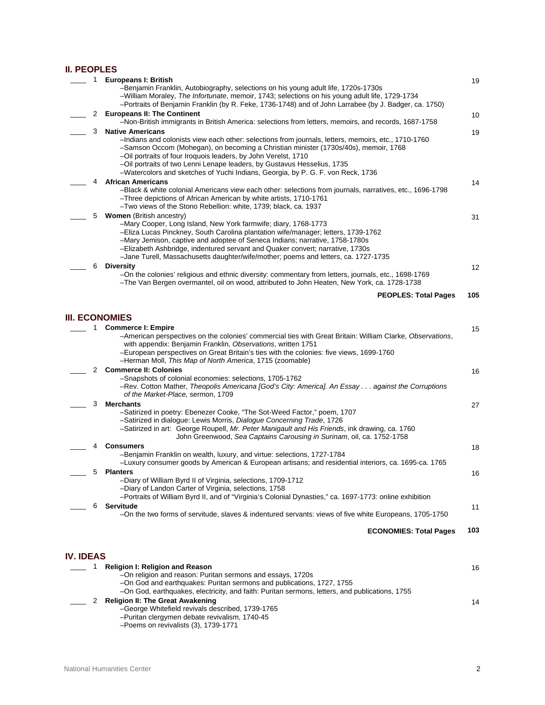## **II. PEOPLES**

|                  | 1 | <b>Europeans I: British</b><br>-Benjamin Franklin, Autobiography, selections on his young adult life, 1720s-1730s<br>-William Moraley, The Infortunate, memoir, 1743; selections on his young adult life, 1729-1734<br>-Portraits of Benjamin Franklin (by R. Feke, 1736-1748) and of John Larrabee (by J. Badger, ca. 1750)                                                                                                                          | 19  |
|------------------|---|-------------------------------------------------------------------------------------------------------------------------------------------------------------------------------------------------------------------------------------------------------------------------------------------------------------------------------------------------------------------------------------------------------------------------------------------------------|-----|
|                  | 2 | <b>Europeans II: The Continent</b><br>-Non-British immigrants in British America: selections from letters, memoirs, and records, 1687-1758                                                                                                                                                                                                                                                                                                            | 10  |
|                  | 3 | <b>Native Americans</b><br>-Indians and colonists view each other: selections from journals, letters, memoirs, etc., 1710-1760<br>-Samson Occom (Mohegan), on becoming a Christian minister (1730s/40s), memoir, 1768<br>-Oil portraits of four Iroquois leaders, by John Verelst, 1710<br>-Oil portraits of two Lenni Lenape leaders, by Gustavus Hesselius, 1735<br>-Watercolors and sketches of Yuchi Indians, Georgia, by P. G. F. von Reck, 1736 | 19  |
|                  | 4 | <b>African Americans</b><br>-Black & white colonial Americans view each other: selections from journals, narratives, etc., 1696-1798<br>-Three depictions of African American by white artists, 1710-1761<br>-Two views of the Stono Rebellion: white, 1739; black, ca. 1937                                                                                                                                                                          | 14  |
|                  | 5 | <b>Women</b> (British ancestry)<br>-Mary Cooper, Long Island, New York farmwife; diary, 1768-1773<br>-Eliza Lucas Pinckney, South Carolina plantation wife/manager; letters, 1739-1762<br>-Mary Jemison, captive and adoptee of Seneca Indians; narrative, 1758-1780s<br>-Elizabeth Ashbridge, indentured servant and Quaker convert; narrative, 1730s<br>-Jane Turell, Massachusetts daughter/wife/mother; poems and letters, ca. 1727-1735          | 31  |
|                  | 6 | <b>Diversity</b><br>-On the colonies' religious and ethnic diversity: commentary from letters, journals, etc., 1698-1769<br>-The Van Bergen overmantel, oil on wood, attributed to John Heaten, New York, ca. 1728-1738                                                                                                                                                                                                                               | 12  |
|                  |   | <b>PEOPLES: Total Pages</b>                                                                                                                                                                                                                                                                                                                                                                                                                           | 105 |
|                  |   | <b>III. ECONOMIES</b>                                                                                                                                                                                                                                                                                                                                                                                                                                 |     |
|                  | 1 | <b>Commerce I: Empire</b><br>-American perspectives on the colonies' commercial ties with Great Britain: William Clarke, Observations,<br>with appendix: Benjamin Franklin, Observations, written 1751<br>-European perspectives on Great Britain's ties with the colonies: five views, 1699-1760<br>-Herman Moll, This Map of North America, 1715 (zoomable)                                                                                         | 15  |
|                  | 2 | <b>Commerce II: Colonies</b><br>-Snapshots of colonial economies: selections, 1705-1762<br>-Rev. Cotton Mather, Theopolis Americana [God's City: America]. An Essay against the Corruptions<br>of the Market-Place, sermon, 1709                                                                                                                                                                                                                      | 16  |
|                  | 3 | <b>Merchants</b><br>-Satirized in poetry: Ebenezer Cooke, "The Sot-Weed Factor," poem, 1707<br>-Satirized in dialogue: Lewis Morris, Dialogue Concerning Trade, 1726<br>-Satirized in art: George Roupell, Mr. Peter Manigault and His Friends, ink drawing, ca. 1760<br>John Greenwood, Sea Captains Carousing in Surinam, oil, ca. 1752-1758                                                                                                        | 27  |
|                  | 4 | <b>Consumers</b><br>-Benjamin Franklin on wealth, luxury, and virtue: selections, 1727-1784<br>-Luxury consumer goods by American & European artisans; and residential interiors, ca. 1695-ca. 1765                                                                                                                                                                                                                                                   | 18  |
|                  | 5 | <b>Planters</b><br>-Diary of William Byrd II of Virginia, selections, 1709-1712<br>-Diary of Landon Carter of Virginia, selections, 1758<br>-Portraits of William Byrd II, and of "Virginia's Colonial Dynasties," ca. 1697-1773: online exhibition                                                                                                                                                                                                   | 16  |
|                  | 6 | <b>Servitude</b><br>-On the two forms of servitude, slaves & indentured servants: views of five white Europeans, 1705-1750                                                                                                                                                                                                                                                                                                                            | 11  |
|                  |   | <b>ECONOMIES: Total Pages</b>                                                                                                                                                                                                                                                                                                                                                                                                                         | 103 |
| <b>IV. IDEAS</b> |   |                                                                                                                                                                                                                                                                                                                                                                                                                                                       |     |
|                  | 1 | <b>Religion I: Religion and Reason</b><br>-On religion and reason: Puritan sermons and essays, 1720s<br>-On God and earthquakes: Puritan sermons and publications, 1727, 1755                                                                                                                                                                                                                                                                         | 16  |

–On God, earthquakes, electricity, and faith: Puritan sermons, letters, and publications, 1755

\_\_\_\_ 2 **Religion II: The Great Awakening** 

- –George Whitefield revivals described, 1739-1765 –Puritan clergymen debate revivalism, 1740-45
- –Poems on revivalists (3), 1739-1771

14